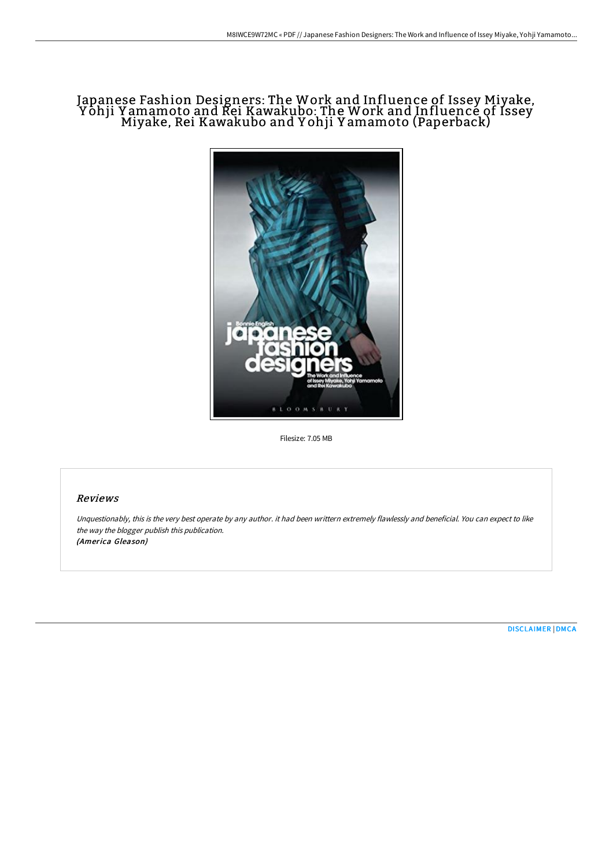# Japanese Fashion Designers: The Work and Influence of Issey Miyake, Yôhji Yamamoto and Rei Kawakubo: The Work and Influencé of Issey<br>Miyake, Rei Kawakubo and Yohji Yamamoto (Paperback)



Filesize: 7.05 MB

# Reviews

Unquestionably, this is the very best operate by any author. it had been writtern extremely flawlessly and beneficial. You can expect to like the way the blogger publish this publication. (America Gleason)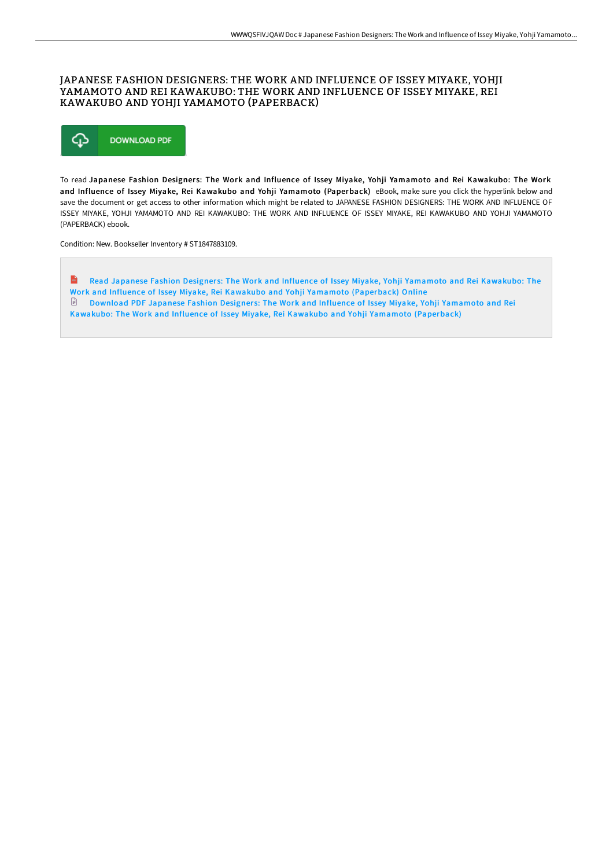# JAPANESE FASHION DESIGNERS: THE WORK AND INFLUENCE OF ISSEY MIYAKE, YOHJI YAMAMOTO AND REI KAWAKUBO: THE WORK AND INFLUENCE OF ISSEY MIYAKE, REI KAWAKUBO AND YOHJI YAMAMOTO (PAPERBACK)



To read Japanese Fashion Designers: The Work and Influence of Issey Miyake, Yohji Yamamoto and Rei Kawakubo: The Work and Influence of Issey Miyake, Rei Kawakubo and Yohji Yamamoto (Paperback) eBook, make sure you click the hyperlink below and save the document or get access to other information which might be related to JAPANESE FASHION DESIGNERS: THE WORK AND INFLUENCE OF ISSEY MIYAKE, YOHJI YAMAMOTO AND REI KAWAKUBO: THE WORK AND INFLUENCE OF ISSEY MIYAKE, REI KAWAKUBO AND YOHJI YAMAMOTO (PAPERBACK) ebook.

Condition: New. Bookseller Inventory # ST1847883109.

**Read Japanese Fashion Designers: The Work and Influence of Issey Miyake, Yohji Yamamoto and Rei Kawakubo: The** Work and Influence of Issey Miyake, Rei Kawakubo and Yohji Yamamoto [\(Paperback\)](http://www.bookdirs.com/japanese-fashion-designers-the-work-and-influenc.html) Online Download PDF Japanese Fashion Designers: The Work and Influence of Issey Miyake, Yohji Yamamoto and Rei Kawakubo: The Work and Influence of Issey Miyake, Rei Kawakubo and Yohji Yamamoto [\(Paperback\)](http://www.bookdirs.com/japanese-fashion-designers-the-work-and-influenc.html)